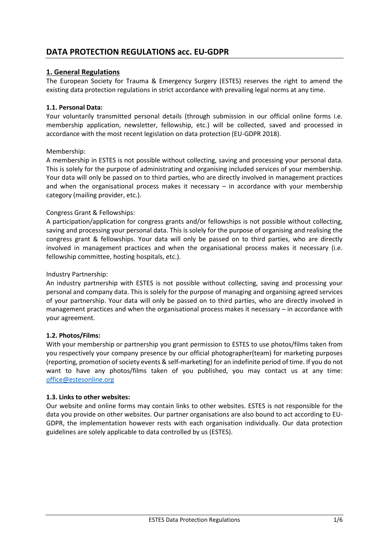# **DATA PROTECTION REGULATIONS acc. EU-GDPR**

# **1. General Regulations**

The European Society for Trauma & Emergency Surgery (ESTES) reserves the right to amend the existing data protection regulations in strict accordance with prevailing legal norms at any time.

### **1.1. Personal Data:**

Your voluntarily transmitted personal details (through submission in our official online forms i.e. membership application, newsletter, fellowship, etc.) will be collected, saved and processed in accordance with the most recent legislation on data protection (EU-GDPR 2018).

### Membership:

A membership in ESTES is not possible without collecting, saving and processing your personal data. This is solely for the purpose of administrating and organising included services of your membership. Your data will only be passed on to third parties, who are directly involved in management practices and when the organisational process makes it necessary – in accordance with your membership category (mailing provider, etc.).

### Congress Grant & Fellowships:

A participation/application for congress grants and/or fellowships is not possible without collecting, saving and processing your personal data. This is solely for the purpose of organising and realising the congress grant & fellowships. Your data will only be passed on to third parties, who are directly involved in management practices and when the organisational process makes it necessary (i.e. fellowship committee, hosting hospitals, etc.).

#### Industry Partnership:

An industry partnership with ESTES is not possible without collecting, saving and processing your personal and company data. This is solely for the purpose of managing and organising agreed services of your partnership. Your data will only be passed on to third parties, who are directly involved in management practices and when the organisational process makes it necessary – in accordance with your agreement.

#### **1.2. Photos/Films:**

With your membership or partnership you grant permission to ESTES to use photos/films taken from you respectively your company presence by our official photographer(team) for marketing purposes (reporting, promotion of society events & self-marketing) for an indefinite period of time. If you do not want to have any photos/films taken of you published, you may contact us at any time: [office@estesonline.org](mailto:office@estesonline.org)

#### **1.3. Links to other websites:**

Our website and online forms may contain links to other websites. ESTES is not responsible for the data you provide on other websites. Our partner organisations are also bound to act according to EU-GDPR, the implementation however rests with each organisation individually. Our data protection guidelines are solely applicable to data controlled by us (ESTES).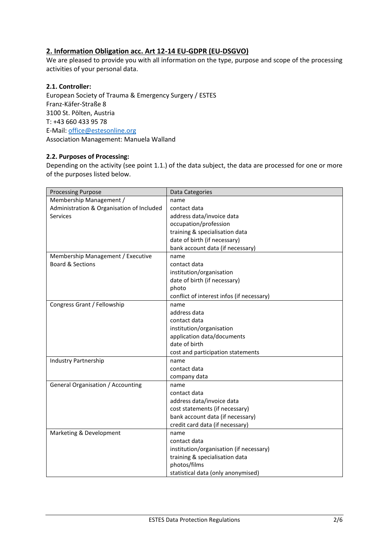# **2. Information Obligation acc. Art 12-14 EU-GDPR (EU-DSGVO)**

We are pleased to provide you with all information on the type, purpose and scope of the processing activities of your personal data.

### **2.1. Controller:**

European Society of Trauma & Emergency Surgery / ESTES Franz-Käfer-Straße 8 3100 St. Pölten, Austria T: +43 660 433 95 78 E-Mail[: office@estesonline.org](mailto:office@estesonline.org) Association Management: Manuela Walland

### **2.2. Purposes of Processing:**

Depending on the activity (see point 1.1.) of the data subject, the data are processed for one or more of the purposes listed below.

| <b>Processing Purpose</b>                 | Data Categories                           |  |  |
|-------------------------------------------|-------------------------------------------|--|--|
| Membership Management /                   | name                                      |  |  |
| Administration & Organisation of Included | contact data                              |  |  |
| <b>Services</b>                           | address data/invoice data                 |  |  |
|                                           | occupation/profession                     |  |  |
|                                           | training & specialisation data            |  |  |
|                                           | date of birth (if necessary)              |  |  |
|                                           | bank account data (if necessary)          |  |  |
| Membership Management / Executive         | name                                      |  |  |
| Board & Sections                          | contact data                              |  |  |
|                                           | institution/organisation                  |  |  |
|                                           | date of birth (if necessary)              |  |  |
|                                           | photo                                     |  |  |
|                                           | conflict of interest infos (if necessary) |  |  |
| Congress Grant / Fellowship               | name                                      |  |  |
|                                           | address data                              |  |  |
|                                           | contact data                              |  |  |
|                                           | institution/organisation                  |  |  |
|                                           | application data/documents                |  |  |
|                                           | date of birth                             |  |  |
|                                           | cost and participation statements         |  |  |
| <b>Industry Partnership</b>               | name                                      |  |  |
|                                           | contact data                              |  |  |
|                                           | company data                              |  |  |
| General Organisation / Accounting         | name                                      |  |  |
|                                           | contact data                              |  |  |
|                                           | address data/invoice data                 |  |  |
|                                           | cost statements (if necessary)            |  |  |
|                                           | bank account data (if necessary)          |  |  |
|                                           | credit card data (if necessary)           |  |  |
| Marketing & Development                   | name                                      |  |  |
|                                           | contact data                              |  |  |
|                                           | institution/organisation (if necessary)   |  |  |
|                                           | training & specialisation data            |  |  |
|                                           | photos/films                              |  |  |
|                                           | statistical data (only anonymised)        |  |  |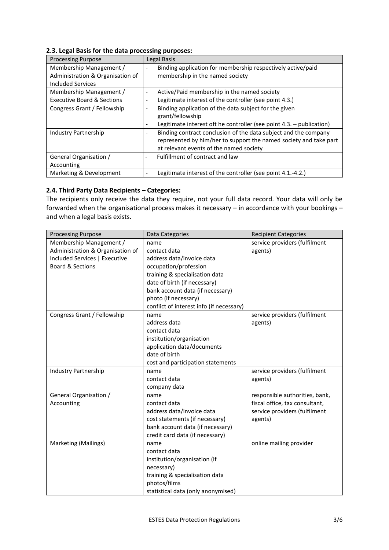| <b>Processing Purpose</b>             | Legal Basis                                                                             |  |
|---------------------------------------|-----------------------------------------------------------------------------------------|--|
| Membership Management /               | Binding application for membership respectively active/paid<br>$\overline{\phantom{a}}$ |  |
| Administration & Organisation of      | membership in the named society                                                         |  |
| Included Services                     |                                                                                         |  |
| Membership Management /               | Active/Paid membership in the named society<br>$\overline{\phantom{a}}$                 |  |
| <b>Executive Board &amp; Sections</b> | Legitimate interest of the controller (see point 4.3.)<br>٠                             |  |
| Congress Grant / Fellowship           | Binding application of the data subject for the given                                   |  |
|                                       | grant/fellowship                                                                        |  |
|                                       | Legitimate interest oft he controller (see point 4.3. - publication)                    |  |
| Industry Partnership                  | Binding contract conclusion of the data subject and the company                         |  |
|                                       | represented by him/her to support the named society and take part                       |  |
|                                       | at relevant events of the named society                                                 |  |
| General Organisation /                | Fulfillment of contract and law                                                         |  |
| Accounting                            |                                                                                         |  |
| Marketing & Development               | Legitimate interest of the controller (see point 4.1.-4.2.)                             |  |

# **2.3. Legal Basis for the data processing purposes:**

# **2.4. Third Party Data Recipients – Categories:**

The recipients only receive the data they require, not your full data record. Your data will only be forwarded when the organisational process makes it necessary – in accordance with your bookings – and when a legal basis exists.

| <b>Processing Purpose</b>        | Data Categories                          | <b>Recipient Categories</b>    |
|----------------------------------|------------------------------------------|--------------------------------|
| Membership Management /          | name                                     | service providers (fulfilment  |
| Administration & Organisation of | contact data                             | agents)                        |
| Included Services   Executive    | address data/invoice data                |                                |
| <b>Board &amp; Sections</b>      | occupation/profession                    |                                |
|                                  | training & specialisation data           |                                |
|                                  | date of birth (if necessary)             |                                |
|                                  | bank account data (if necessary)         |                                |
|                                  | photo (if necessary)                     |                                |
|                                  | conflict of interest info (if necessary) |                                |
| Congress Grant / Fellowship      | name                                     | service providers (fulfilment  |
|                                  | address data                             | agents)                        |
|                                  | contact data                             |                                |
|                                  | institution/organisation                 |                                |
|                                  | application data/documents               |                                |
|                                  | date of birth                            |                                |
|                                  | cost and participation statements        |                                |
| <b>Industry Partnership</b>      | name                                     | service providers (fulfilment  |
|                                  | contact data                             | agents)                        |
|                                  | company data                             |                                |
| General Organisation /           | name                                     | responsible authorities, bank, |
| Accounting                       | contact data                             | fiscal office, tax consultant, |
|                                  | address data/invoice data                | service providers (fulfilment  |
|                                  | cost statements (if necessary)           | agents)                        |
|                                  | bank account data (if necessary)         |                                |
|                                  | credit card data (if necessary)          |                                |
| Marketing (Mailings)             | name                                     | online mailing provider        |
|                                  | contact data                             |                                |
|                                  | institution/organisation (if             |                                |
|                                  | necessary)                               |                                |
|                                  | training & specialisation data           |                                |
|                                  | photos/films                             |                                |
|                                  | statistical data (only anonymised)       |                                |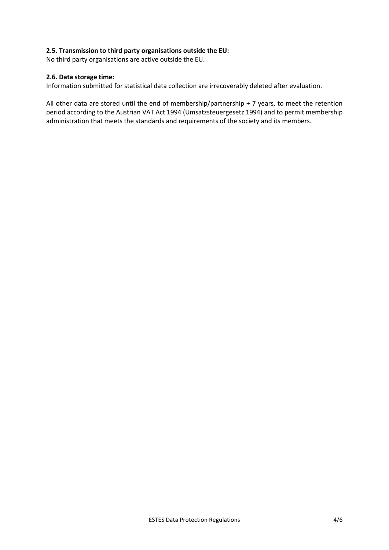### **2.5. Transmission to third party organisations outside the EU:**

No third party organisations are active outside the EU.

# **2.6. Data storage time:**

Information submitted for statistical data collection are irrecoverably deleted after evaluation.

All other data are stored until the end of membership/partnership + 7 years, to meet the retention period according to the Austrian VAT Act 1994 (Umsatzsteuergesetz 1994) and to permit membership administration that meets the standards and requirements of the society and its members.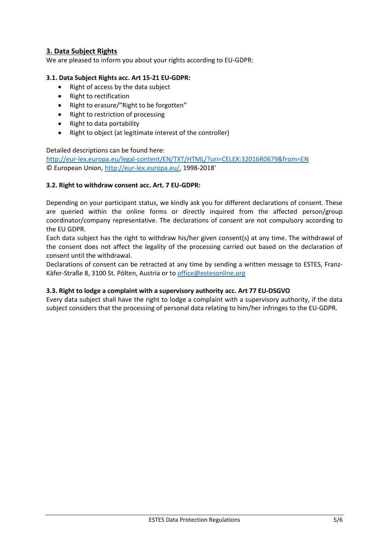# **3. Data Subject Rights**

We are pleased to inform you about your rights according to EU-GDPR:

### **3.1. Data Subject Rights acc. Art 15-21 EU-GDPR:**

- Right of access by the data subject
- Right to rectification
- Right to erasure/"Right to be forgotten"
- Right to restriction of processing
- Right to data portability
- Right to object (at legitimate interest of the controller)

### Detailed descriptions can be found here:

http://eur-lex.europa.eu/legal-content/EN/TXT/HTML/?uri=CELEX:32016R0679&from=EN © European Union, [http://eur-lex.europa.eu/,](http://eur-lex.europa.eu/homepage.html?locale=en) 1998-2018'

### **3.2. Right to withdraw consent acc. Art. 7 EU-GDPR:**

Depending on your participant status, we kindly ask you for different declarations of consent. These are queried within the online forms or directly inquired from the affected person/group coordinator/company representative. The declarations of consent are not compulsory according to the EU GDPR.

Each data subject has the right to withdraw his/her given consent(s) at any time. The withdrawal of the consent does not affect the legality of the processing carried out based on the declaration of consent until the withdrawal.

Declarations of consent can be retracted at any time by sending a written message to ESTES, Franz-Käfer-Straße 8, 3100 St. Pölten, Austria or t[o office@estesonline.org](mailto:office@estesonline.org)

# **3.3. Right to lodge a complaint with a supervisory authority acc. Art 77 EU-DSGVO**

Every data subject shall have the right to lodge a complaint with a supervisory authority, if the data subject considers that the processing of personal data relating to him/her infringes to the EU-GDPR.